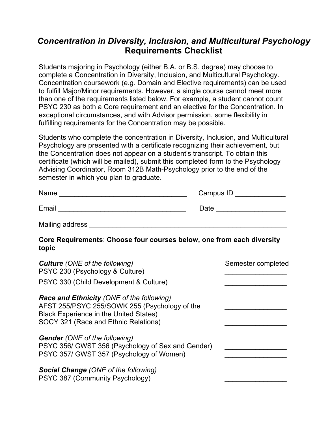## *Concentration in Diversity, Inclusion, and Multicultural Psychology* **Requirements Checklist**

Students majoring in Psychology (either B.A. or B.S. degree) may choose to complete a Concentration in Diversity, Inclusion, and Multicultural Psychology. Concentration coursework (e.g. Domain and Elective requirements) can be used to fulfill Major/Minor requirements. However, a single course cannot meet more than one of the requirements listed below. For example, a student cannot count PSYC 230 as both a Core requirement and an elective for the Concentration. In exceptional circumstances, and with Advisor permission, some flexibility in fulfilling requirements for the Concentration may be possible.

Students who complete the concentration in Diversity, Inclusion, and Multicultural Psychology are presented with a certificate recognizing their achievement, but the Concentration does not appear on a student's transcript. To obtain this certificate (which will be mailed), submit this completed form to the Psychology Advising Coordinator, Room 312B Math-Psychology prior to the end of the semester in which you plan to graduate.

| Name  | Campus ID |
|-------|-----------|
| Email | Date      |

Mailing address

## **Core Requirements**: **Choose four courses below, one from each diversity topic**

| <b>Culture</b> (ONE of the following)<br>PSYC 230 (Psychology & Culture)                                                                                                                   | Semester completed |
|--------------------------------------------------------------------------------------------------------------------------------------------------------------------------------------------|--------------------|
| PSYC 330 (Child Development & Culture)                                                                                                                                                     |                    |
| <b>Race and Ethnicity (ONE of the following)</b><br>AFST 255/PSYC 255/SOWK 255 (Psychology of the<br><b>Black Experience in the United States)</b><br>SOCY 321 (Race and Ethnic Relations) |                    |
| <b>Gender</b> (ONE of the following)<br>PSYC 356/ GWST 356 (Psychology of Sex and Gender)<br>PSYC 357/ GWST 357 (Psychology of Women)                                                      |                    |
| <b>Social Change (ONE of the following)</b><br>PSYC 387 (Community Psychology)                                                                                                             |                    |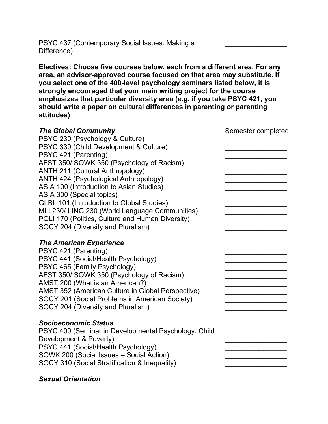PSYC 437 (Contemporary Social Issues: Making a Difference)

**Electives: Choose five courses below, each from a different area. For any area, an advisor-approved course focused on that area may substitute. If you select one of the 400-level psychology seminars listed below, it is strongly encouraged that your main writing project for the course emphasizes that particular diversity area (e.g. if you take PSYC 421, you should write a paper on cultural differences in parenting or parenting attitudes)**

 $\overline{\phantom{a}}$ 

| <b>The Global Community</b>                          | Semester completed |
|------------------------------------------------------|--------------------|
| PSYC 230 (Psychology & Culture)                      |                    |
| PSYC 330 (Child Development & Culture)               |                    |
| PSYC 421 (Parenting)                                 |                    |
| AFST 350/ SOWK 350 (Psychology of Racism)            |                    |
| <b>ANTH 211 (Cultural Anthropology)</b>              |                    |
| ANTH 424 (Psychological Anthropology)                |                    |
| ASIA 100 (Introduction to Asian Studies)             |                    |
| ASIA 300 (Special topics)                            |                    |
| GLBL 101 (Introduction to Global Studies)            |                    |
| MLL230/ LING 230 (World Language Communities)        |                    |
| POLI 170 (Politics, Culture and Human Diversity)     |                    |
| SOCY 204 (Diversity and Pluralism)                   |                    |
| <b>The American Experience</b>                       |                    |
| PSYC 421 (Parenting)                                 |                    |
| PSYC 441 (Social/Health Psychology)                  |                    |
| PSYC 465 (Family Psychology)                         |                    |
| AFST 350/ SOWK 350 (Psychology of Racism)            |                    |
| AMST 200 (What is an American?)                      |                    |
| AMST 352 (American Culture in Global Perspective)    |                    |
| SOCY 201 (Social Problems in American Society)       |                    |
| SOCY 204 (Diversity and Pluralism)                   |                    |
| <b>Socioeconomic Status</b>                          |                    |
| PSYC 400 (Seminar in Developmental Psychology: Child |                    |
| Development & Poverty)                               |                    |
| PSYC 441 (Social/Health Psychology)                  |                    |
| SOWK 200 (Social Issues - Social Action)             |                    |
| SOCY 310 (Social Stratification & Inequality)        |                    |
|                                                      |                    |

## *Sexual Orientation*